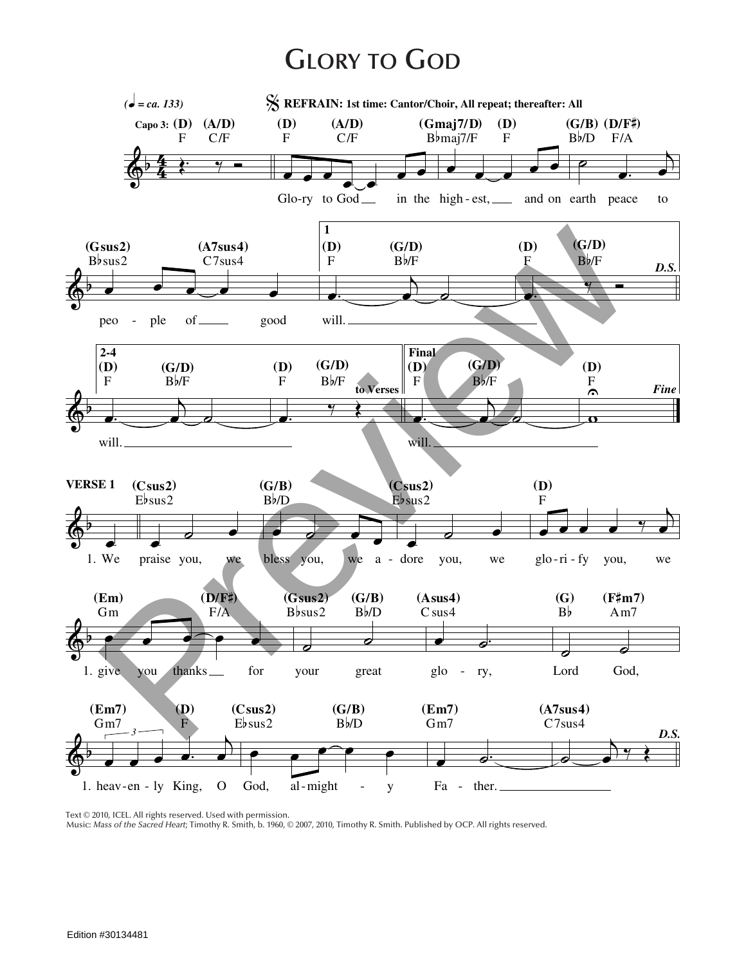## **Glory to God**



Text © 2010, ICEL. All rights reserved. Used with permission.

Music: *Mass of the Sacred Heart*; Timothy R. Smith, b. 1960, © 2007, 2010, Timothy R. Smith. Published by OCP. All rights reserved.